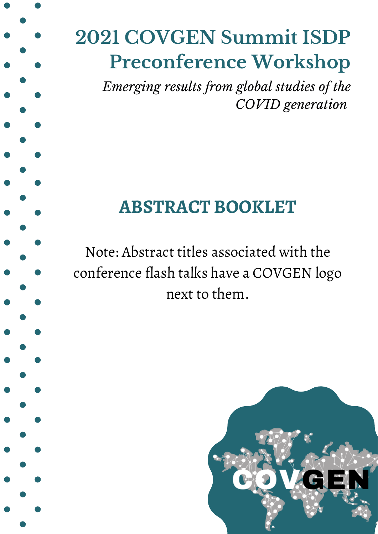# **2021 COVGEN Summit ISDP Preconference Workshop**

*Emerging results from global studies of the COVID generation*

## **ABSTRACT BOOKLET**

Note: Abstract titles associated with the conference flash talks have a COVGEN logo next to them.

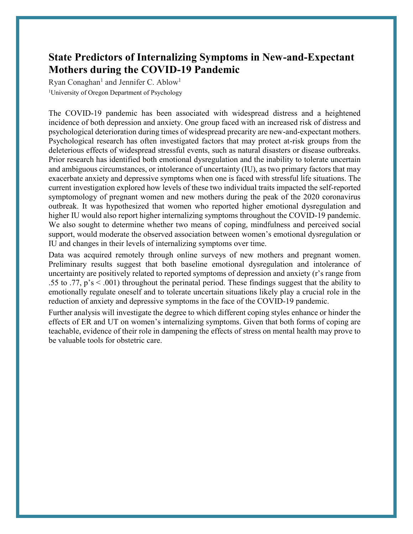#### **State Predictors of Internalizing Symptoms in New-and-Expectant Mothers during the COVID-19 Pandemic**

Ryan Conaghan<sup>1</sup> and Jennifer C. Ablow<sup>1</sup> <sup>1</sup>University of Oregon Department of Psychology

The COVID-19 pandemic has been associated with widespread distress and a heightened incidence of both depression and anxiety. One group faced with an increased risk of distress and psychological deterioration during times of widespread precarity are new-and-expectant mothers. Psychological research has often investigated factors that may protect at-risk groups from the deleterious effects of widespread stressful events, such as natural disasters or disease outbreaks. Prior research has identified both emotional dysregulation and the inability to tolerate uncertain and ambiguous circumstances, or intolerance of uncertainty (IU), as two primary factors that may exacerbate anxiety and depressive symptoms when one is faced with stressful life situations. The current investigation explored how levels of these two individual traits impacted the self-reported symptomology of pregnant women and new mothers during the peak of the 2020 coronavirus outbreak. It was hypothesized that women who reported higher emotional dysregulation and higher IU would also report higher internalizing symptoms throughout the COVID-19 pandemic. We also sought to determine whether two means of coping, mindfulness and perceived social support, would moderate the observed association between women's emotional dysregulation or IU and changes in their levels of internalizing symptoms over time.

Data was acquired remotely through online surveys of new mothers and pregnant women. Preliminary results suggest that both baseline emotional dysregulation and intolerance of uncertainty are positively related to reported symptoms of depression and anxiety (r's range from .55 to .77,  $p's < .001$ ) throughout the perinatal period. These findings suggest that the ability to emotionally regulate oneself and to tolerate uncertain situations likely play a crucial role in the reduction of anxiety and depressive symptoms in the face of the COVID-19 pandemic.

Further analysis will investigate the degree to which different coping styles enhance or hinder the effects of ER and UT on women's internalizing symptoms. Given that both forms of coping are teachable, evidence of their role in dampening the effects of stress on mental health may prove to be valuable tools for obstetric care.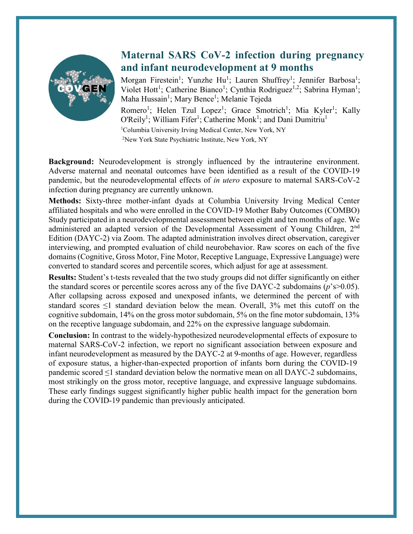

#### **Maternal SARS CoV-2 infection during pregnancy and infant neurodevelopment at 9 months**

Morgan Firestein<sup>1</sup>; Yunzhe Hu<sup>1</sup>; Lauren Shuffrey<sup>1</sup>; Jennifer Barbosa<sup>1</sup>; Violet Hott<sup>1</sup>; Catherine Bianco<sup>1</sup>; Cynthia Rodriguez<sup>1,2</sup>; Sabrina Hyman<sup>1</sup>; Maha Hussain<sup>1</sup>; Mary Bence<sup>1</sup>; Melanie Tejeda Romero<sup>1</sup>; Helen Tzul Lopez<sup>1</sup>; Grace Smotrich<sup>1</sup>; Mia Kyler<sup>1</sup>; Kally O'Reily<sup>1</sup>; William Fifer<sup>1</sup>; Catherine Monk<sup>1</sup>; and Dani Dumitriu<sup>1</sup> 1 Columbia University Irving Medical Center, New York, NY 2 New York State Psychiatric Institute, New York, NY

**Background:** Neurodevelopment is strongly influenced by the intrauterine environment. Adverse maternal and neonatal outcomes have been identified as a result of the COVID-19 pandemic, but the neurodevelopmental effects of *in utero* exposure to maternal SARS-CoV-2 infection during pregnancy are currently unknown.

**Methods:** Sixty-three mother-infant dyads at Columbia University Irving Medical Center affiliated hospitals and who were enrolled in the COVID-19 Mother Baby Outcomes (COMBO) Study participated in a neurodevelopmental assessment between eight and ten months of age. We administered an adapted version of the Developmental Assessment of Young Children, 2<sup>nd</sup> Edition (DAYC-2) via Zoom. The adapted administration involves direct observation, caregiver interviewing, and prompted evaluation of child neurobehavior. Raw scores on each of the five domains (Cognitive, Gross Motor, Fine Motor, Receptive Language, Expressive Language) were converted to standard scores and percentile scores, which adjust for age at assessment.

**Results:** Student's t-tests revealed that the two study groups did not differ significantly on either the standard scores or percentile scores across any of the five DAYC-2 subdomains (*p*'s>0.05). After collapsing across exposed and unexposed infants, we determined the percent of with standard scores  $\leq 1$  standard deviation below the mean. Overall, 3% met this cutoff on the cognitive subdomain, 14% on the gross motor subdomain, 5% on the fine motor subdomain, 13% on the receptive language subdomain, and 22% on the expressive language subdomain.

**Conclusion:** In contrast to the widely-hypothesized neurodevelopmental effects of exposure to maternal SARS-CoV-2 infection, we report no significant association between exposure and infant neurodevelopment as measured by the DAYC-2 at 9-months of age. However, regardless of exposure status, a higher-than-expected proportion of infants born during the COVID-19 pandemic scored  $\leq 1$  standard deviation below the normative mean on all DAYC-2 subdomains, most strikingly on the gross motor, receptive language, and expressive language subdomains. These early findings suggest significantly higher public health impact for the generation born during the COVID-19 pandemic than previously anticipated.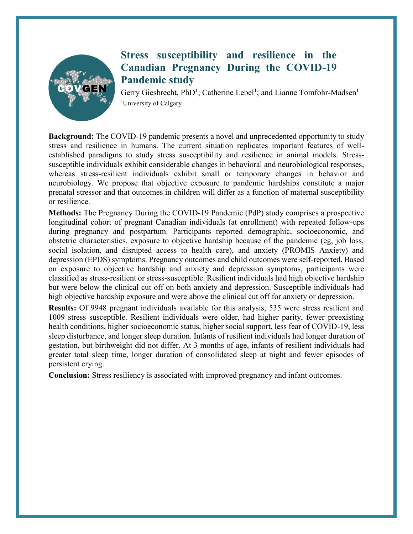

### **Stress susceptibility and resilience in the Canadian Pregnancy During the COVID-19 Pandemic study**

Gerry Giesbrecht, PhD<sup>1</sup>; Catherine Lebel<sup>1</sup>; and Lianne Tomfohr-Madsen<sup>1</sup> <sup>1</sup>University of Calgary

**Background:** The COVID-19 pandemic presents a novel and unprecedented opportunity to study stress and resilience in humans. The current situation replicates important features of wellestablished paradigms to study stress susceptibility and resilience in animal models. Stresssusceptible individuals exhibit considerable changes in behavioral and neurobiological responses, whereas stress-resilient individuals exhibit small or temporary changes in behavior and neurobiology. We propose that objective exposure to pandemic hardships constitute a major prenatal stressor and that outcomes in children will differ as a function of maternal susceptibility or resilience.

**Methods:** The Pregnancy During the COVID-19 Pandemic (PdP) study comprises a prospective longitudinal cohort of pregnant Canadian individuals (at enrollment) with repeated follow-ups during pregnancy and postpartum. Participants reported demographic, socioeconomic, and obstetric characteristics, exposure to objective hardship because of the pandemic (eg, job loss, social isolation, and disrupted access to health care), and anxiety (PROMIS Anxiety) and depression (EPDS) symptoms. Pregnancy outcomes and child outcomes were self-reported. Based on exposure to objective hardship and anxiety and depression symptoms, participants were classified as stress-resilient or stress-susceptible. Resilient individuals had high objective hardship but were below the clinical cut off on both anxiety and depression. Susceptible individuals had high objective hardship exposure and were above the clinical cut off for anxiety or depression.

**Results:** Of 9948 pregnant individuals available for this analysis, 535 were stress resilient and 1009 stress susceptible. Resilient individuals were older, had higher parity, fewer preexisting health conditions, higher socioeconomic status, higher social support, less fear of COVID-19, less sleep disturbance, and longer sleep duration. Infants of resilient individuals had longer duration of gestation, but birthweight did not differ. At 3 months of age, infants of resilient individuals had greater total sleep time, longer duration of consolidated sleep at night and fewer episodes of persistent crying.

**Conclusion:** Stress resiliency is associated with improved pregnancy and infant outcomes.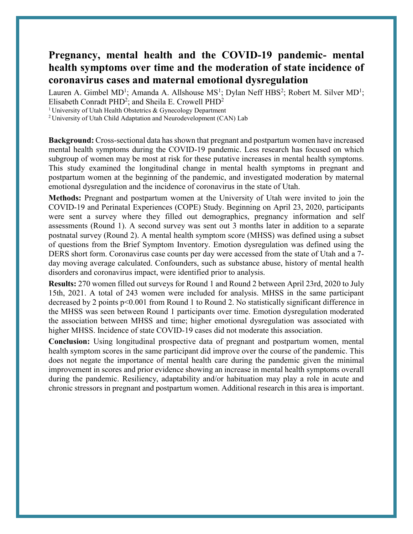#### **Pregnancy, mental health and the COVID-19 pandemic- mental health symptoms over time and the moderation of state incidence of coronavirus cases and maternal emotional dysregulation**

Lauren A. Gimbel  $MD^1$ ; Amanda A. Allshouse  $MS^1$ ; Dylan Neff HBS<sup>2</sup>; Robert M. Silver  $MD^1$ ; Elisabeth Conradt PHD<sup>2</sup>; and Sheila E. Crowell PHD<sup>2</sup>

1 University of Utah Health Obstetrics & Gynecology Department

2 University of Utah Child Adaptation and Neurodevelopment (CAN) Lab

**Background:** Cross-sectional data has shown that pregnant and postpartum women have increased mental health symptoms during the COVID-19 pandemic. Less research has focused on which subgroup of women may be most at risk for these putative increases in mental health symptoms. This study examined the longitudinal change in mental health symptoms in pregnant and postpartum women at the beginning of the pandemic, and investigated moderation by maternal emotional dysregulation and the incidence of coronavirus in the state of Utah.

**Methods:** Pregnant and postpartum women at the University of Utah were invited to join the COVID-19 and Perinatal Experiences (COPE) Study. Beginning on April 23, 2020, participants were sent a survey where they filled out demographics, pregnancy information and self assessments (Round 1). A second survey was sent out 3 months later in addition to a separate postnatal survey (Round 2). A mental health symptom score (MHSS) was defined using a subset of questions from the Brief Symptom Inventory. Emotion dysregulation was defined using the DERS short form. Coronavirus case counts per day were accessed from the state of Utah and a 7 day moving average calculated. Confounders, such as substance abuse, history of mental health disorders and coronavirus impact, were identified prior to analysis.

**Results:** 270 women filled out surveys for Round 1 and Round 2 between April 23rd, 2020 to July 15th, 2021. A total of 243 women were included for analysis. MHSS in the same participant decreased by 2 points p<0.001 from Round 1 to Round 2. No statistically significant difference in the MHSS was seen between Round 1 participants over time. Emotion dysregulation moderated the association between MHSS and time; higher emotional dysregulation was associated with higher MHSS. Incidence of state COVID-19 cases did not moderate this association.

**Conclusion:** Using longitudinal prospective data of pregnant and postpartum women, mental health symptom scores in the same participant did improve over the course of the pandemic. This does not negate the importance of mental health care during the pandemic given the minimal improvement in scores and prior evidence showing an increase in mental health symptoms overall during the pandemic. Resiliency, adaptability and/or habituation may play a role in acute and chronic stressors in pregnant and postpartum women. Additional research in this area is important.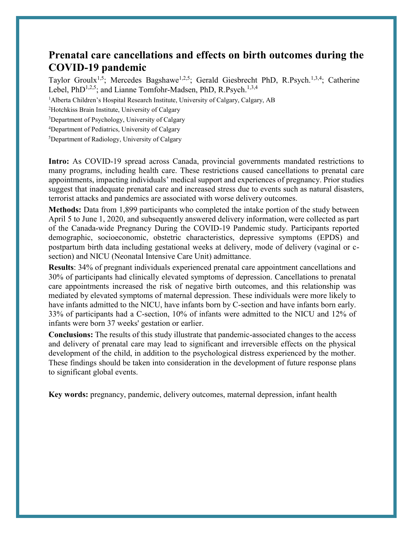#### **Prenatal care cancellations and effects on birth outcomes during the COVID-19 pandemic**

Taylor Groulx<sup>1,5</sup>; Mercedes Bagshawe<sup>1,2,5</sup>; Gerald Giesbrecht PhD, R.Psych.<sup>1,3,4</sup>; Catherine Lebel, PhD<sup>1,2,5</sup>; and Lianne Tomfohr-Madsen, PhD, R.Psych.<sup>1,3,4</sup>

<sup>1</sup>Alberta Children's Hospital Research Institute, University of Calgary, Calgary, AB

2 Hotchkiss Brain Institute, University of Calgary

3 Department of Psychology, University of Calgary

4 Department of Pediatrics, University of Calgary

5 Department of Radiology, University of Calgary

**Intro:** As COVID-19 spread across Canada, provincial governments mandated restrictions to many programs, including health care. These restrictions caused cancellations to prenatal care appointments, impacting individuals' medical support and experiences of pregnancy. Prior studies suggest that inadequate prenatal care and increased stress due to events such as natural disasters, terrorist attacks and pandemics are associated with worse delivery outcomes.

**Methods:** Data from 1,899 participants who completed the intake portion of the study between April 5 to June 1, 2020, and subsequently answered delivery information, were collected as part of the Canada-wide Pregnancy During the COVID-19 Pandemic study. Participants reported demographic, socioeconomic, obstetric characteristics, depressive symptoms (EPDS) and postpartum birth data including gestational weeks at delivery, mode of delivery (vaginal or csection) and NICU (Neonatal Intensive Care Unit) admittance.

**Results**: 34% of pregnant individuals experienced prenatal care appointment cancellations and 30% of participants had clinically elevated symptoms of depression. Cancellations to prenatal care appointments increased the risk of negative birth outcomes, and this relationship was mediated by elevated symptoms of maternal depression. These individuals were more likely to have infants admitted to the NICU, have infants born by C-section and have infants born early. 33% of participants had a C-section, 10% of infants were admitted to the NICU and 12% of infants were born 37 weeks' gestation or earlier.

**Conclusions:** The results of this study illustrate that pandemic-associated changes to the access and delivery of prenatal care may lead to significant and irreversible effects on the physical development of the child, in addition to the psychological distress experienced by the mother. These findings should be taken into consideration in the development of future response plans to significant global events.

**Key words:** pregnancy, pandemic, delivery outcomes, maternal depression, infant health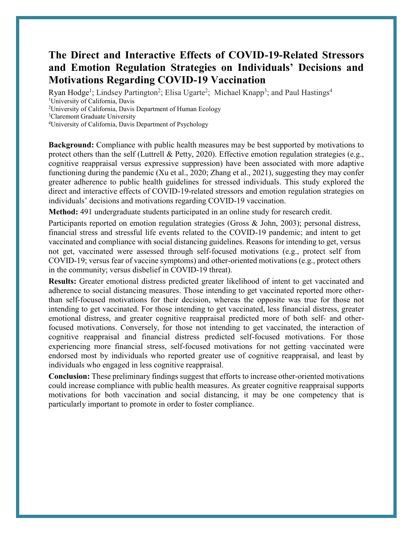#### **The Direct and Interactive Effects of COVID-19-Related Stressors and Emotion Regulation Strategies on Individuals' Decisions and Motivations Regarding COVID-19 Vaccination**

Ryan Hodge<sup>1</sup>; Lindsey Partington<sup>2</sup>; Elisa Ugarte<sup>2</sup>; Michael Knapp<sup>3</sup>; and Paul Hastings<sup>4</sup> 1 University of California, Davis

<sup>2</sup>University of California, Davis Department of Human Ecology

<sup>3</sup>Claremont Graduate University

4 University of California, Davis Department of Psychology

**Background:** Compliance with public health measures may be best supported by motivations to protect others than the self (Luttrell & Petty, 2020). Effective emotion regulation strategies (e.g., cognitive reappraisal versus expressive suppression) have been associated with more adaptive functioning during the pandemic (Xu et al., 2020; Zhang et al., 2021), suggesting they may confer greater adherence to public health guidelines for stressed individuals. This study explored the direct and interactive effects of COVID-19-related stressors and emotion regulation strategies on individuals' decisions and motivations regarding COVID-19 vaccination.

**Method:** 491 undergraduate students participated in an online study for research credit.

Participants reported on emotion regulation strategies (Gross & John, 2003); personal distress, financial stress and stressful life events related to the COVID-19 pandemic; and intent to get vaccinated and compliance with social distancing guidelines. Reasons for intending to get, versus not get, vaccinated were assessed through self-focused motivations (e.g., protect self from COVID-19; versus fear of vaccine symptoms) and other-oriented motivations (e.g., protect others in the community; versus disbelief in COVID-19 threat).

**Results:** Greater emotional distress predicted greater likelihood of intent to get vaccinated and adherence to social distancing measures. Those intending to get vaccinated reported more otherthan self-focused motivations for their decision, whereas the opposite was true for those not intending to get vaccinated. For those intending to get vaccinated, less financial distress, greater emotional distress, and greater cognitive reappraisal predicted more of both self- and otherfocused motivations. Conversely, for those not intending to get vaccinated, the interaction of cognitive reappraisal and financial distress predicted self-focused motivations. For those experiencing more financial stress, self-focused motivations for not getting vaccinated were endorsed most by individuals who reported greater use of cognitive reappraisal, and least by individuals who engaged in less cognitive reappraisal.

**Conclusion:** These preliminary findings suggest that efforts to increase other-oriented motivations could increase compliance with public health measures. As greater cognitive reappraisal supports motivations for both vaccination and social distancing, it may be one competency that is particularly important to promote in order to foster compliance.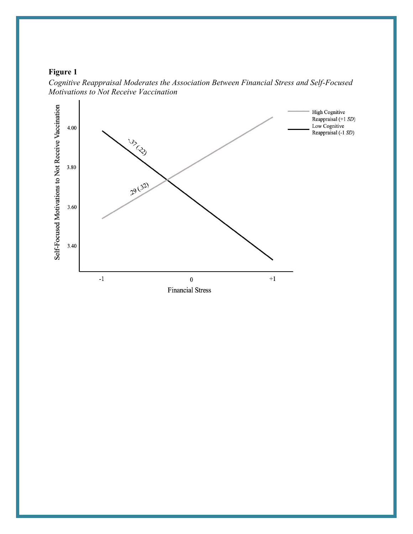#### **Figure 1**



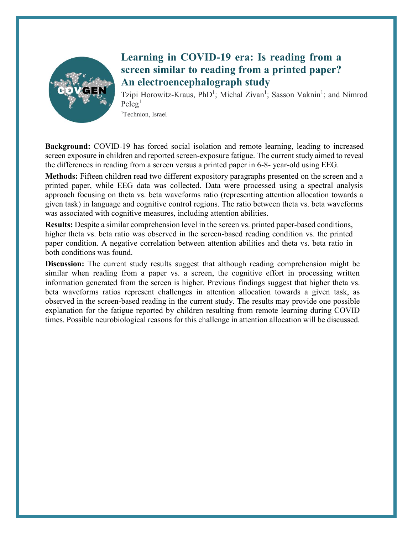

### **Learning in COVID-19 era: Is reading from a screen similar to reading from a printed paper? An electroencephalograph study**

Tzipi Horowitz-Kraus, PhD<sup>1</sup>; Michal Zivan<sup>1</sup>; Sasson Vaknin<sup>1</sup>; and Nimrod  $P$ eleg<sup>1</sup>

<sup>1</sup>Technion, Israel

**Background:** COVID-19 has forced social isolation and remote learning, leading to increased screen exposure in children and reported screen-exposure fatigue. The current study aimed to reveal the differences in reading from a screen versus a printed paper in 6-8- year-old using EEG.

**Methods:** Fifteen children read two different expository paragraphs presented on the screen and a printed paper, while EEG data was collected. Data were processed using a spectral analysis approach focusing on theta vs. beta waveforms ratio (representing attention allocation towards a given task) in language and cognitive control regions. The ratio between theta vs. beta waveforms was associated with cognitive measures, including attention abilities.

**Results:** Despite a similar comprehension level in the screen vs. printed paper-based conditions, higher theta vs. beta ratio was observed in the screen-based reading condition vs. the printed paper condition. A negative correlation between attention abilities and theta vs. beta ratio in both conditions was found.

**Discussion:** The current study results suggest that although reading comprehension might be similar when reading from a paper vs. a screen, the cognitive effort in processing written information generated from the screen is higher. Previous findings suggest that higher theta vs. beta waveforms ratios represent challenges in attention allocation towards a given task, as observed in the screen-based reading in the current study. The results may provide one possible explanation for the fatigue reported by children resulting from remote learning during COVID times. Possible neurobiological reasons for this challenge in attention allocation will be discussed.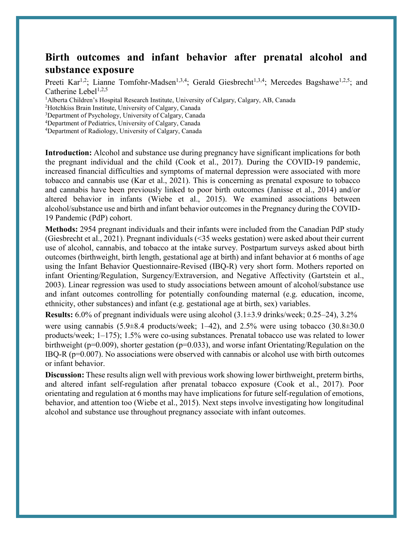#### **Birth outcomes and infant behavior after prenatal alcohol and substance exposure**

Preeti Kar<sup>1,2</sup>; Lianne Tomfohr-Madsen<sup>1,3,4</sup>; Gerald Giesbrecht<sup>1,3,4</sup>; Mercedes Bagshawe<sup>1,2,5</sup>; and Catherine Lebel<sup>1,2,5</sup>

<sup>1</sup>Alberta Children's Hospital Research Institute, University of Calgary, Calgary, AB, Canada

<sup>2</sup>Hotchkiss Brain Institute, University of Calgary, Canada<br><sup>3</sup>Department of Psychology, University of Calgary, Canad

Department of Psychology, University of Calgary, Canada

4 Department of Pediatrics, University of Calgary, Canada

4 Department of Radiology, University of Calgary, Canada

**Introduction:** Alcohol and substance use during pregnancy have significant implications for both the pregnant individual and the child (Cook et al., 2017). During the COVID-19 pandemic, increased financial difficulties and symptoms of maternal depression were associated with more tobacco and cannabis use (Kar et al., 2021). This is concerning as prenatal exposure to tobacco and cannabis have been previously linked to poor birth outcomes (Janisse et al., 2014) and/or altered behavior in infants (Wiebe et al., 2015). We examined associations between alcohol/substance use and birth and infant behavior outcomes in the Pregnancy during the COVID-19 Pandemic (PdP) cohort.

**Methods:** 2954 pregnant individuals and their infants were included from the Canadian PdP study (Giesbrecht et al., 2021). Pregnant individuals (<35 weeks gestation) were asked about their current use of alcohol, cannabis, and tobacco at the intake survey. Postpartum surveys asked about birth outcomes (birthweight, birth length, gestational age at birth) and infant behavior at 6 months of age using the Infant Behavior Questionnaire-Revised (IBQ-R) very short form. Mothers reported on infant Orienting/Regulation, Surgency/Extraversion, and Negative Affectivity (Gartstein et al., 2003). Linear regression was used to study associations between amount of alcohol/substance use and infant outcomes controlling for potentially confounding maternal (e.g. education, income, ethnicity, other substances) and infant (e.g. gestational age at birth, sex) variables.

**Results:** 6.0% of pregnant individuals were using alcohol (3.1±3.9 drinks/week; 0.25–24), 3.2%

were using cannabis  $(5.9\pm8.4 \text{ products/week}; 1-42)$ , and  $2.5\%$  were using tobacco  $(30.8\pm30.0 \text{ s})$ products/week; 1–175); 1.5% were co-using substances. Prenatal tobacco use was related to lower birthweight (p=0.009), shorter gestation (p=0.033), and worse infant Orientating/Regulation on the IBQ-R (p=0.007). No associations were observed with cannabis or alcohol use with birth outcomes or infant behavior.

**Discussion:** These results align well with previous work showing lower birthweight, preterm births, and altered infant self-regulation after prenatal tobacco exposure (Cook et al., 2017). Poor orientating and regulation at 6 months may have implications for future self-regulation of emotions, behavior, and attention too (Wiebe et al., 2015). Next steps involve investigating how longitudinal alcohol and substance use throughout pregnancy associate with infant outcomes.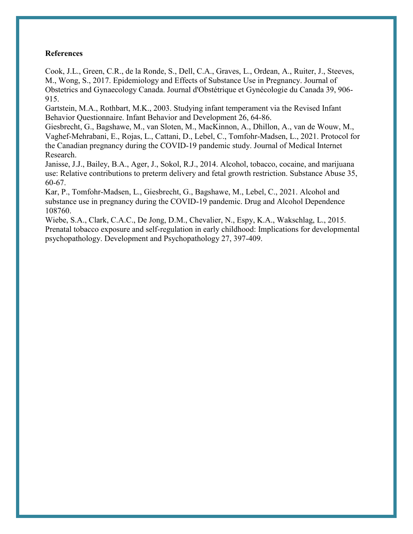#### **References**

Cook, J.L., Green, C.R., de la Ronde, S., Dell, C.A., Graves, L., Ordean, A., Ruiter, J., Steeves, M., Wong, S., 2017. Epidemiology and Effects of Substance Use in Pregnancy. Journal of Obstetrics and Gynaecology Canada. Journal d'Obstétrique et Gynécologie du Canada 39, 906- 915.

Gartstein, M.A., Rothbart, M.K., 2003. Studying infant temperament via the Revised Infant Behavior Questionnaire. Infant Behavior and Development 26, 64-86.

Giesbrecht, G., Bagshawe, M., van Sloten, M., MacKinnon, A., Dhillon, A., van de Wouw, M., Vaghef-Mehrabani, E., Rojas, L., Cattani, D., Lebel, C., Tomfohr-Madsen, L., 2021. Protocol for the Canadian pregnancy during the COVID-19 pandemic study. Journal of Medical Internet Research.

Janisse, J.J., Bailey, B.A., Ager, J., Sokol, R.J., 2014. Alcohol, tobacco, cocaine, and marijuana use: Relative contributions to preterm delivery and fetal growth restriction. Substance Abuse 35, 60-67.

Kar, P., Tomfohr-Madsen, L., Giesbrecht, G., Bagshawe, M., Lebel, C., 2021. Alcohol and substance use in pregnancy during the COVID-19 pandemic. Drug and Alcohol Dependence 108760.

Wiebe, S.A., Clark, C.A.C., De Jong, D.M., Chevalier, N., Espy, K.A., Wakschlag, L., 2015. Prenatal tobacco exposure and self-regulation in early childhood: Implications for developmental psychopathology. Development and Psychopathology 27, 397-409.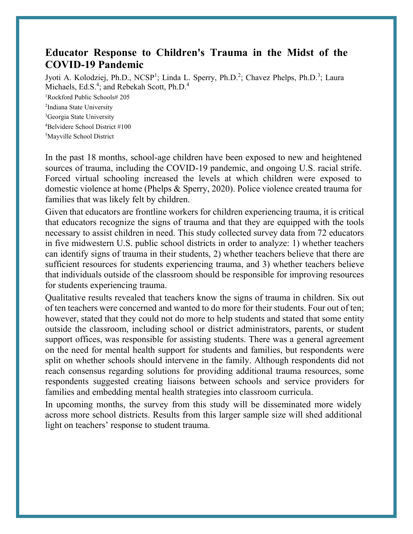#### **Educator Response to Children's Trauma in the Midst of the COVID-19 Pandemic**

Jyoti A. Kolodziej, Ph.D., NCSP<sup>1</sup>; Linda L. Sperry, Ph.D.<sup>2</sup>; Chavez Phelps, Ph.D.<sup>3</sup>; Laura Michaels, Ed.S.<sup>4</sup>; and Rebekah Scott, Ph.D.<sup>4</sup>

1 Rockford Public Schools# 205

<sup>2</sup>Indiana State University

<sup>3</sup>Georgia State University

4 Belvidere School District #100

5 Mayville School District

In the past 18 months, school-age children have been exposed to new and heightened sources of trauma, including the COVID-19 pandemic, and ongoing U.S. racial strife. Forced virtual schooling increased the levels at which children were exposed to domestic violence at home (Phelps & Sperry, 2020). Police violence created trauma for families that was likely felt by children.

Given that educators are frontline workers for children experiencing trauma, it is critical that educators recognize the signs of trauma and that they are equipped with the tools necessary to assist children in need. This study collected survey data from 72 educators in five midwestern U.S. public school districts in order to analyze: 1) whether teachers can identify signs of trauma in their students, 2) whether teachers believe that there are sufficient resources for students experiencing trauma, and 3) whether teachers believe that individuals outside of the classroom should be responsible for improving resources for students experiencing trauma.

Qualitative results revealed that teachers know the signs of trauma in children. Six out of ten teachers were concerned and wanted to do more for their students. Four out of ten; however, stated that they could not do more to help students and stated that some entity outside the classroom, including school or district administrators, parents, or student support offices, was responsible for assisting students. There was a general agreement on the need for mental health support for students and families, but respondents were split on whether schools should intervene in the family. Although respondents did not reach consensus regarding solutions for providing additional trauma resources, some respondents suggested creating liaisons between schools and service providers for families and embedding mental health strategies into classroom curricula.

In upcoming months, the survey from this study will be disseminated more widely across more school districts. Results from this larger sample size will shed additional light on teachers' response to student trauma.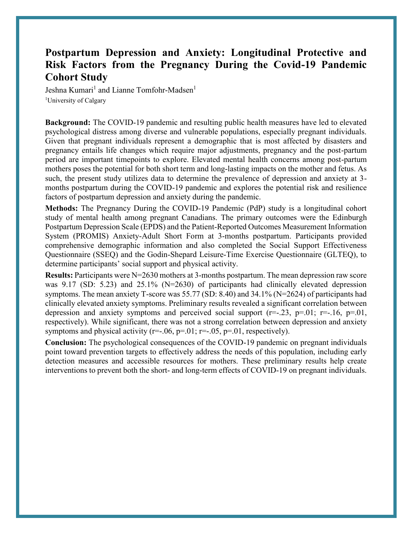#### **Postpartum Depression and Anxiety: Longitudinal Protective and Risk Factors from the Pregnancy During the Covid-19 Pandemic Cohort Study**

Jeshna Kumari<sup>1</sup> and Lianne Tomfohr-Madsen<sup>1</sup> <sup>1</sup>University of Calgary

**Background:** The COVID-19 pandemic and resulting public health measures have led to elevated psychological distress among diverse and vulnerable populations, especially pregnant individuals. Given that pregnant individuals represent a demographic that is most affected by disasters and pregnancy entails life changes which require major adjustments, pregnancy and the post-partum period are important timepoints to explore. Elevated mental health concerns among post-partum mothers poses the potential for both short term and long-lasting impacts on the mother and fetus. As such, the present study utilizes data to determine the prevalence of depression and anxiety at 3 months postpartum during the COVID-19 pandemic and explores the potential risk and resilience factors of postpartum depression and anxiety during the pandemic.

**Methods:** The Pregnancy During the COVID-19 Pandemic (PdP) study is a longitudinal cohort study of mental health among pregnant Canadians. The primary outcomes were the Edinburgh Postpartum Depression Scale (EPDS) and the Patient-Reported Outcomes Measurement Information System (PROMIS) Anxiety-Adult Short Form at 3-months postpartum. Participants provided comprehensive demographic information and also completed the Social Support Effectiveness Questionnaire (SSEQ) and the Godin-Shepard Leisure-Time Exercise Questionnaire (GLTEQ), to determine participants' social support and physical activity.

**Results:** Participants were N=2630 mothers at 3-months postpartum. The mean depression raw score was 9.17 (SD: 5.23) and 25.1% (N=2630) of participants had clinically elevated depression symptoms. The mean anxiety T-score was 55.77 (SD: 8.40) and 34.1% (N=2624) of participants had clinically elevated anxiety symptoms. Preliminary results revealed a significant correlation between depression and anxiety symptoms and perceived social support  $(r=-.23, p=.01; r=-.16, p=.01,$ respectively). While significant, there was not a strong correlation between depression and anxiety symptoms and physical activity ( $r=-.06$ ,  $p=01$ ;  $r=-.05$ ,  $p=01$ , respectively).

**Conclusion:** The psychological consequences of the COVID-19 pandemic on pregnant individuals point toward prevention targets to effectively address the needs of this population, including early detection measures and accessible resources for mothers. These preliminary results help create interventions to prevent both the short- and long-term effects of COVID-19 on pregnant individuals.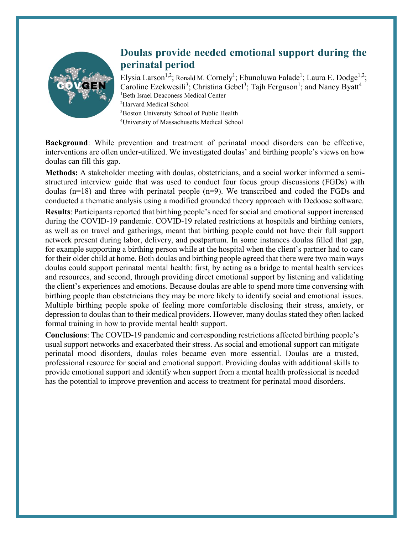

### **Doulas provide needed emotional support during the perinatal period**

Elysia Larson<sup>1,2</sup>; Ronald M. Cornely<sup>1</sup>; Ebunoluwa Falade<sup>1</sup>; Laura E. Dodge<sup>1,2</sup>; Caroline Ezekwesili<sup>3</sup>; Christina Gebel<sup>3</sup>; Tajh Ferguson<sup>1</sup>; and Nancy Byatt<sup>4</sup> 1 Beth Israel Deaconess Medical Center 2 Harvard Medical School <sup>3</sup>Boston University School of Public Health 4 University of Massachusetts Medical School

**Background**: While prevention and treatment of perinatal mood disorders can be effective, interventions are often under-utilized. We investigated doulas' and birthing people's views on how doulas can fill this gap.

**Methods:** A stakeholder meeting with doulas, obstetricians, and a social worker informed a semistructured interview guide that was used to conduct four focus group discussions (FGDs) with doulas (n=18) and three with perinatal people (n=9). We transcribed and coded the FGDs and conducted a thematic analysis using a modified grounded theory approach with Dedoose software.

**Results**: Participants reported that birthing people's need for social and emotional support increased during the COVID-19 pandemic. COVID-19 related restrictions at hospitals and birthing centers, as well as on travel and gatherings, meant that birthing people could not have their full support network present during labor, delivery, and postpartum. In some instances doulas filled that gap, for example supporting a birthing person while at the hospital when the client's partner had to care for their older child at home. Both doulas and birthing people agreed that there were two main ways doulas could support perinatal mental health: first, by acting as a bridge to mental health services and resources, and second, through providing direct emotional support by listening and validating the client's experiences and emotions. Because doulas are able to spend more time conversing with birthing people than obstetricians they may be more likely to identify social and emotional issues. Multiple birthing people spoke of feeling more comfortable disclosing their stress, anxiety, or depression to doulas than to their medical providers. However, many doulas stated they often lacked formal training in how to provide mental health support.

**Conclusions**: The COVID-19 pandemic and corresponding restrictions affected birthing people's usual support networks and exacerbated their stress. As social and emotional support can mitigate perinatal mood disorders, doulas roles became even more essential. Doulas are a trusted, professional resource for social and emotional support. Providing doulas with additional skills to provide emotional support and identify when support from a mental health professional is needed has the potential to improve prevention and access to treatment for perinatal mood disorders.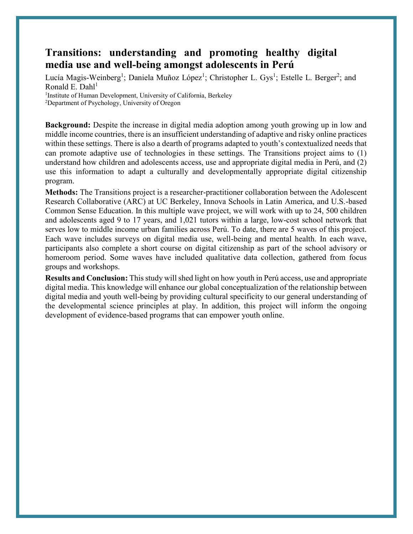#### **Transitions: understanding and promoting healthy digital media use and well-being amongst adolescents in Perú**

Lucía Magis-Weinberg<sup>1</sup>; Daniela Muñoz López<sup>1</sup>; Christopher L. Gys<sup>1</sup>; Estelle L. Berger<sup>2</sup>; and Ronald E. Dahl<sup>1</sup>

<sup>1</sup>Institute of Human Development, University of California, Berkeley

<sup>2</sup>Department of Psychology, University of Oregon

**Background:** Despite the increase in digital media adoption among youth growing up in low and middle income countries, there is an insufficient understanding of adaptive and risky online practices within these settings. There is also a dearth of programs adapted to youth's contextualized needs that can promote adaptive use of technologies in these settings. The Transitions project aims to (1) understand how children and adolescents access, use and appropriate digital media in Perú, and (2) use this information to adapt a culturally and developmentally appropriate digital citizenship program.

**Methods:** The Transitions project is a researcher-practitioner collaboration between the Adolescent Research Collaborative (ARC) at UC Berkeley, Innova Schools in Latin America, and U.S.-based Common Sense Education. In this multiple wave project, we will work with up to 24, 500 children and adolescents aged 9 to 17 years, and 1,021 tutors within a large, low-cost school network that serves low to middle income urban families across Perú. To date, there are 5 waves of this project. Each wave includes surveys on digital media use, well-being and mental health. In each wave, participants also complete a short course on digital citizenship as part of the school advisory or homeroom period. Some waves have included qualitative data collection, gathered from focus groups and workshops.

**Results and Conclusion:** This study will shed light on how youth in Perú access, use and appropriate digital media. This knowledge will enhance our global conceptualization of the relationship between digital media and youth well-being by providing cultural specificity to our general understanding of the developmental science principles at play. In addition, this project will inform the ongoing development of evidence-based programs that can empower youth online.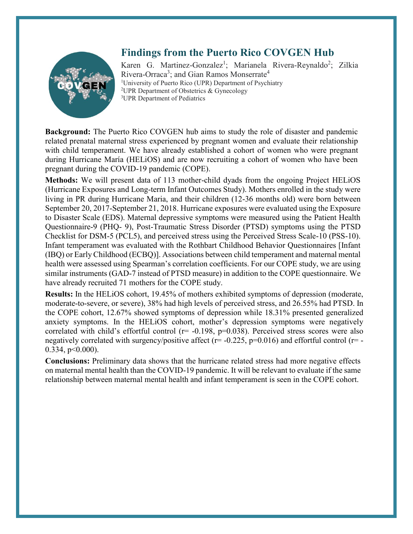

#### **Findings from the Puerto Rico COVGEN Hub**

Karen G. Martinez-Gonzalez<sup>1</sup>; Marianela Rivera-Reynaldo<sup>2</sup>; Zilkia Rivera-Orraca<sup>3</sup>; and Gian Ramos Monserrate<sup>4</sup> <sup>1</sup>University of Puerto Rico (UPR) Department of Psychiatry <sup>2</sup>UPR Department of Obstetrics & Gynecology <sup>3</sup>UPR Department of Pediatrics

**Background:** The Puerto Rico COVGEN hub aims to study the role of disaster and pandemic related prenatal maternal stress experienced by pregnant women and evaluate their relationship with child temperament. We have already established a cohort of women who were pregnant during Hurricane María (HELiOS) and are now recruiting a cohort of women who have been pregnant during the COVID-19 pandemic (COPE).

**Methods:** We will present data of 113 mother-child dyads from the ongoing Project HELiOS (Hurricane Exposures and Long-term Infant Outcomes Study). Mothers enrolled in the study were living in PR during Hurricane Maria, and their children (12-36 months old) were born between September 20, 2017-September 21, 2018. Hurricane exposures were evaluated using the Exposure to Disaster Scale (EDS). Maternal depressive symptoms were measured using the Patient Health Questionnaire-9 (PHQ- 9), Post-Traumatic Stress Disorder (PTSD) symptoms using the PTSD Checklist for DSM-5 (PCL5), and perceived stress using the Perceived Stress Scale-10 (PSS-10). Infant temperament was evaluated with the Rothbart Childhood Behavior Questionnaires [Infant (IBQ) or Early Childhood (ECBQ)]. Associations between child temperament and maternal mental health were assessed using Spearman's correlation coefficients. For our COPE study, we are using similar instruments (GAD-7 instead of PTSD measure) in addition to the COPE questionnaire. We have already recruited 71 mothers for the COPE study.

**Results:** In the HELiOS cohort, 19.45% of mothers exhibited symptoms of depression (moderate, moderate-to-severe, or severe), 38% had high levels of perceived stress, and 26.55% had PTSD. In the COPE cohort, 12.67% showed symptoms of depression while 18.31% presented generalized anxiety symptoms. In the HELiOS cohort, mother's depression symptoms were negatively correlated with child's effortful control ( $r=$  -0.198,  $p=0.038$ ). Perceived stress scores were also negatively correlated with surgency/positive affect ( $r=$  -0.225,  $p=0.016$ ) and effortful control ( $r=$  -0.334, p<0.000).

**Conclusions:** Preliminary data shows that the hurricane related stress had more negative effects on maternal mental health than the COVID-19 pandemic. It will be relevant to evaluate if the same relationship between maternal mental health and infant temperament is seen in the COPE cohort.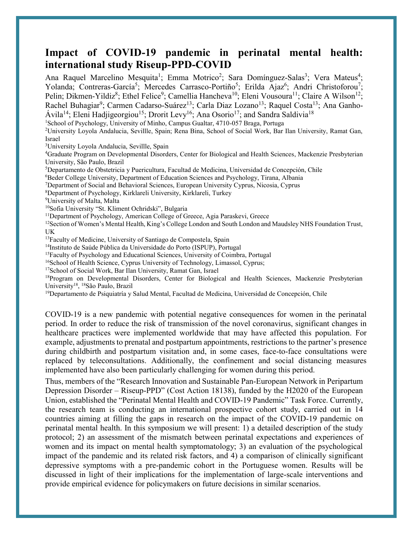#### **Impact of COVID-19 pandemic in perinatal mental health: international study Riseup-PPD-COVID**

Ana Raquel Marcelino Mesquita<sup>1</sup>; Emma Motrico<sup>2</sup>; Sara Domínguez-Salas<sup>3</sup>; Vera Mateus<sup>4</sup>; Yolanda; Contreras-García<sup>5</sup>; Mercedes Carrasco-Portiño<sup>5</sup>; Erilda Ajaz<sup>6</sup>; Andri Christoforou<sup>7</sup>; Pelin; Dikmen-Yildiz<sup>8</sup>; Ethel Felice<sup>9</sup>; Camellia Hancheva<sup>10</sup>; Eleni Vousoura<sup>11</sup>; Claire A Wilson<sup>12</sup>; Rachel Buhagiar<sup>9</sup>; Carmen Cadarso-Suárez<sup>13</sup>; Carla Diaz Lozano<sup>13</sup>; Raquel Costa<sup>13</sup>; Ana Ganho-Ávila<sup>14</sup>; Eleni Hadjigeorgiou<sup>15</sup>; Drorit Levy<sup>16</sup>; Ana Osorio<sup>17</sup>; and Sandra Saldivia<sup>18</sup>

<sup>1</sup>School of Psychology, University of Minho, Campus Gualtar, 4710-057 Braga, Portuga

2 University Loyola Andalucia, Sevillle, Spain; Rena Bina, School of Social Work, Bar Ilan University, Ramat Gan, Israel

3 University Loyola Andalucia, Sevillle, Spain

4 Graduate Program on Developmental Disorders, Center for Biological and Health Sciences, Mackenzie Presbyterian University, São Paulo, Brazil

5 Departamento de Obstetricia y Puericultura, Facultad de Medicina, Universidad de Concepción, Chile

6 Beder College University, Department of Education Sciences and Psychology, Tirana, Albania

7 Department of Social and Behavioral Sciences, European University Cyprus, Nicosia, Cyprus

8 Department of Psychology, Kirklareli University, Kirklareli, Turkey

9 University of Malta, Malta

<sup>10</sup>Sofia University "St. Kliment Ochridski", Bulgaria

<sup>11</sup>Department of Psychology, American College of Greece, Agia Paraskevi, Greece

<sup>12</sup>Section of Women's Mental Health, King's College London and South London and Maudsley NHS Foundation Trust, UK

<sup>13</sup>Faculty of Medicine, University of Santiago de Compostela, Spain  $14$ Instituto de Saúde Pública da Universidade do Porto (ISPUP), Portugal

<sup>15</sup>Faculty of Psychology and Educational Sciences, University of Coimbra, Portugal

<sup>16</sup>School of Health Science, Cyprus University of Technology, Limassol, Cyprus;

<sup>17</sup>School of Social Work, Bar Ilan University, Ramat Gan, Israel

<sup>18</sup>Program on Developmental Disorders, Center for Biological and Health Sciences, Mackenzie Presbyterian University18, 18São Paulo, Brazil

 $<sup>19</sup>$ Departamento de Psiquiatría y Salud Mental, Facultad de Medicina, Universidad de Concepción, Chile</sup>

COVID-19 is a new pandemic with potential negative consequences for women in the perinatal period. In order to reduce the risk of transmission of the novel coronavirus, significant changes in healthcare practices were implemented worldwide that may have affected this population. For example, adjustments to prenatal and postpartum appointments, restrictions to the partner's presence during childbirth and postpartum visitation and, in some cases, face-to-face consultations were replaced by teleconsultations. Additionally, the confinement and social distancing measures implemented have also been particularly challenging for women during this period.

Thus, members of the "Research Innovation and Sustainable Pan-European Network in Peripartum Depression Disorder – Riseup-PPD" (Cost Action 18138), funded by the H2020 of the European Union, established the "Perinatal Mental Health and COVID-19 Pandemic" Task Force. Currently, the research team is conducting an international prospective cohort study, carried out in 14 countries aiming at filling the gaps in research on the impact of the COVID-19 pandemic on perinatal mental health. In this symposium we will present: 1) a detailed description of the study protocol; 2) an assessment of the mismatch between perinatal expectations and experiences of women and its impact on mental health symptomatology; 3) an evaluation of the psychological impact of the pandemic and its related risk factors, and 4) a comparison of clinically significant depressive symptoms with a pre-pandemic cohort in the Portuguese women. Results will be discussed in light of their implications for the implementation of large-scale interventions and provide empirical evidence for policymakers on future decisions in similar scenarios.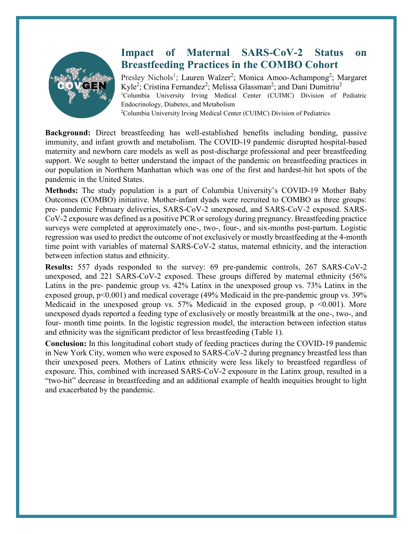

#### **Impact of Maternal SARS-CoV-2 Status on Breastfeeding Practices in the COMBO Cohort**

Presley Nichols<sup>1</sup>; Lauren Walzer<sup>2</sup>; Monica Amoo-Achampong<sup>2</sup>; Margaret Kyle<sup>2</sup>; Cristina Fernandez<sup>2</sup>; Melissa Glassman<sup>2</sup>; and Dani Dumitriu<sup>2</sup> <sup>1</sup>Columbia University Irving Medical Center (CUIMC) Division of Pediatric Endocrinology, Diabetes, and Metabolism <sup>2</sup>Columbia University Irving Medical Center (CUIMC) Division of Pediatrics

**Background:** Direct breastfeeding has well-established benefits including bonding, passive immunity, and infant growth and metabolism. The COVID-19 pandemic disrupted hospital-based maternity and newborn care models as well as post-discharge professional and peer breastfeeding support. We sought to better understand the impact of the pandemic on breastfeeding practices in our population in Northern Manhattan which was one of the first and hardest-hit hot spots of the pandemic in the United States.

**Methods:** The study population is a part of Columbia University's COVID-19 Mother Baby Outcomes (COMBO) initiative. Mother-infant dyads were recruited to COMBO as three groups: pre- pandemic February deliveries, SARS-CoV-2 unexposed, and SARS-CoV-2 exposed. SARS-CoV-2 exposure was defined as a positive PCR or serology during pregnancy. Breastfeeding practice surveys were completed at approximately one-, two-, four-, and six-months post-partum. Logistic regression was used to predict the outcome of not exclusively or mostly breastfeeding at the 4-month time point with variables of maternal SARS-CoV-2 status, maternal ethnicity, and the interaction between infection status and ethnicity.

**Results:** 557 dyads responded to the survey: 69 pre-pandemic controls, 267 SARS-CoV-2 unexposed, and 221 SARS-CoV-2 exposed. These groups differed by maternal ethnicity (56% Latinx in the pre- pandemic group vs. 42% Latinx in the unexposed group vs. 73% Latinx in the exposed group,  $p<0.001$ ) and medical coverage (49% Medicaid in the pre-pandemic group vs. 39% Medicaid in the unexposed group vs. 57% Medicaid in the exposed group,  $p < 0.001$ ). More unexposed dyads reported a feeding type of exclusively or mostly breastmilk at the one-, two-, and four- month time points. In the logistic regression model, the interaction between infection status and ethnicity was the significant predictor of less breastfeeding (Table 1).

**Conclusion:** In this longitudinal cohort study of feeding practices during the COVID-19 pandemic in New York City, women who were exposed to SARS-CoV-2 during pregnancy breastfed less than their unexposed peers. Mothers of Latinx ethnicity were less likely to breastfeed regardless of exposure. This, combined with increased SARS-CoV-2 exposure in the Latinx group, resulted in a "two-hit" decrease in breastfeeding and an additional example of health inequities brought to light and exacerbated by the pandemic.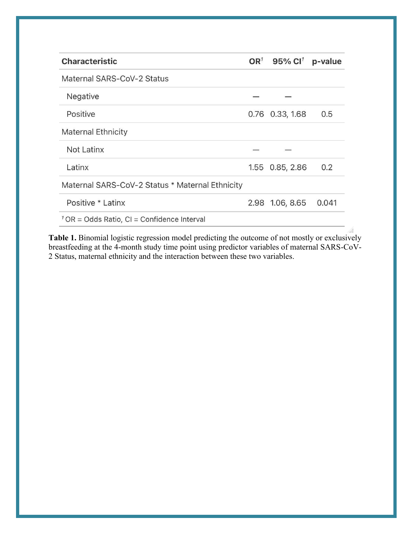| <b>Characteristic</b>                           | OR <sup>1</sup> 95% Cl <sup>1</sup> | p-value |
|-------------------------------------------------|-------------------------------------|---------|
| Maternal SARS-CoV-2 Status                      |                                     |         |
| Negative                                        |                                     |         |
| Positive                                        | 0.76 0.33, 1.68                     | 0.5     |
| <b>Maternal Ethnicity</b>                       |                                     |         |
| <b>Not Latinx</b>                               |                                     |         |
| Latinx                                          | 1.55 0.85, 2.86                     | 0.2     |
| Maternal SARS-CoV-2 Status * Maternal Ethnicity |                                     |         |
| Positive * Latinx                               | 2.98 1.06, 8.65                     | 0.041   |
| $1$ OR = Odds Ratio, CI = Confidence Interval   |                                     |         |

**Table 1.** Binomial logistic regression model predicting the outcome of not mostly or exclusively breastfeeding at the 4-month study time point using predictor variables of maternal SARS-CoV-2 Status, maternal ethnicity and the interaction between these two variables.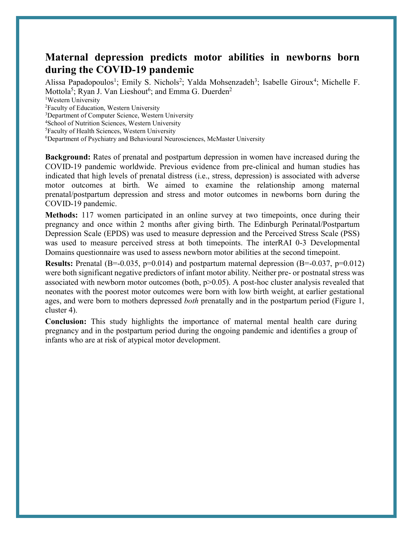#### **Maternal depression predicts motor abilities in newborns born during the COVID-19 pandemic**

Alissa Papadopoulos<sup>1</sup>; Emily S. Nichols<sup>2</sup>; Yalda Mohsenzadeh<sup>3</sup>; Isabelle Giroux<sup>4</sup>; Michelle F. Mottola<sup>5</sup>; Ryan J. Van Lieshout<sup>6</sup>; and Emma G. Duerden<sup>2</sup>

<sup>1</sup>Western University

2 Faculty of Education, Western University

<sup>3</sup>Department of Computer Science, Western University

4 School of Nutrition Sciences, Western University

5 Faculty of Health Sciences, Western University

6 Department of Psychiatry and Behavioural Neurosciences, McMaster University

**Background:** Rates of prenatal and postpartum depression in women have increased during the COVID-19 pandemic worldwide. Previous evidence from pre-clinical and human studies has indicated that high levels of prenatal distress (i.e., stress, depression) is associated with adverse motor outcomes at birth. We aimed to examine the relationship among maternal prenatal/postpartum depression and stress and motor outcomes in newborns born during the COVID-19 pandemic.

**Methods:** 117 women participated in an online survey at two timepoints, once during their pregnancy and once within 2 months after giving birth. The Edinburgh Perinatal/Postpartum Depression Scale (EPDS) was used to measure depression and the Perceived Stress Scale (PSS) was used to measure perceived stress at both timepoints. The interRAI 0-3 Developmental Domains questionnaire was used to assess newborn motor abilities at the second timepoint.

**Results:** Prenatal (B=-0.035, p=0.014) and postpartum maternal depression (B=-0.037, p=0.012) were both significant negative predictors of infant motor ability. Neither pre- or postnatal stress was associated with newborn motor outcomes (both,  $p>0.05$ ). A post-hoc cluster analysis revealed that neonates with the poorest motor outcomes were born with low birth weight, at earlier gestational ages, and were born to mothers depressed *both* prenatally and in the postpartum period (Figure 1, cluster 4).

**Conclusion:** This study highlights the importance of maternal mental health care during pregnancy and in the postpartum period during the ongoing pandemic and identifies a group of infants who are at risk of atypical motor development.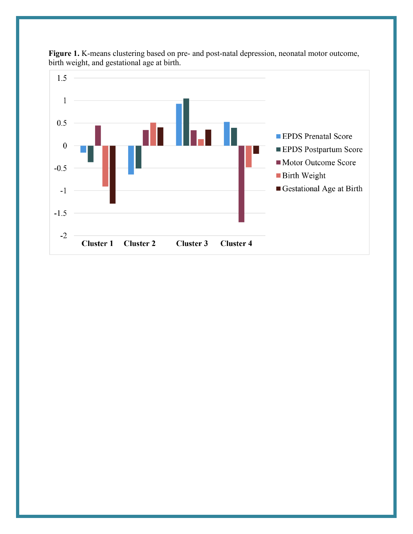

Figure 1. K-means clustering based on pre- and post-natal depression, neonatal motor outcome, birth weight, and gestational age at birth.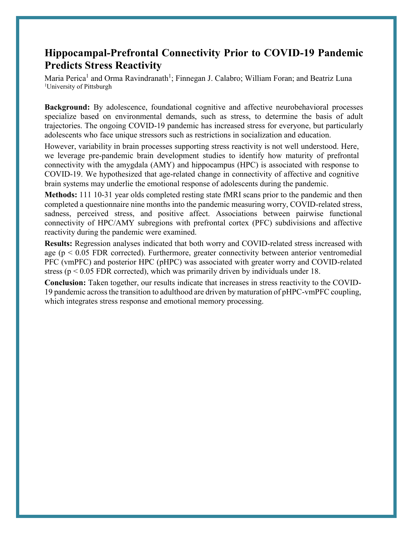#### **Hippocampal-Prefrontal Connectivity Prior to COVID-19 Pandemic Predicts Stress Reactivity**

Maria Perica<sup>1</sup> and Orma Ravindranath<sup>1</sup>; Finnegan J. Calabro; William Foran; and Beatriz Luna <sup>1</sup>University of Pittsburgh

**Background:** By adolescence, foundational cognitive and affective neurobehavioral processes specialize based on environmental demands, such as stress, to determine the basis of adult trajectories. The ongoing COVID-19 pandemic has increased stress for everyone, but particularly adolescents who face unique stressors such as restrictions in socialization and education.

However, variability in brain processes supporting stress reactivity is not well understood. Here, we leverage pre-pandemic brain development studies to identify how maturity of prefrontal connectivity with the amygdala (AMY) and hippocampus (HPC) is associated with response to COVID-19. We hypothesized that age-related change in connectivity of affective and cognitive brain systems may underlie the emotional response of adolescents during the pandemic.

**Methods:** 111 10-31 year olds completed resting state fMRI scans prior to the pandemic and then completed a questionnaire nine months into the pandemic measuring worry, COVID-related stress, sadness, perceived stress, and positive affect. Associations between pairwise functional connectivity of HPC/AMY subregions with prefrontal cortex (PFC) subdivisions and affective reactivity during the pandemic were examined.

**Results:** Regression analyses indicated that both worry and COVID-related stress increased with age ( $p < 0.05$  FDR corrected). Furthermore, greater connectivity between anterior ventromedial PFC (vmPFC) and posterior HPC (pHPC) was associated with greater worry and COVID-related stress ( $p < 0.05$  FDR corrected), which was primarily driven by individuals under 18.

**Conclusion:** Taken together, our results indicate that increases in stress reactivity to the COVID-19 pandemic across the transition to adulthood are driven by maturation of pHPC-vmPFC coupling, which integrates stress response and emotional memory processing.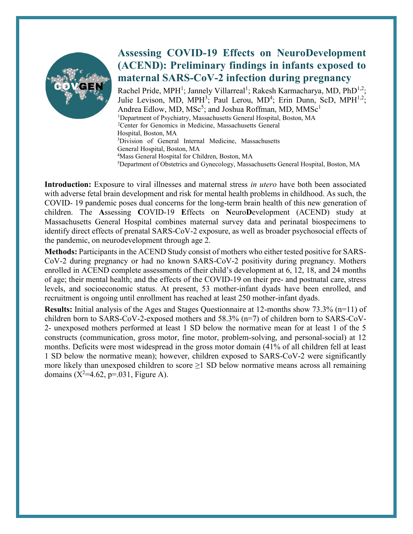

### **Assessing COVID-19 Effects on NeuroDevelopment (ACEND): Preliminary findings in infants exposed to maternal SARS-CoV-2 infection during pregnancy**

Rachel Pride, MPH<sup>1</sup>; Jannely Villarreal<sup>1</sup>; Rakesh Karmacharya, MD, PhD<sup>1,2</sup>; Julie Levison, MD, MPH<sup>3</sup>; Paul Lerou, MD<sup>4</sup>; Erin Dunn, ScD, MPH<sup>1,2</sup>; Andrea Edlow, MD,  $MSc^5$ ; and Joshua Roffman, MD,  $MMSc^1$ <sup>1</sup>Department of Psychiatry, Massachusetts General Hospital, Boston, MA 2 Center for Genomics in Medicine, Massachusetts General Hospital, Boston, MA 3 Division of General Internal Medicine, Massachusetts General Hospital, Boston, MA 4 Mass General Hospital for Children, Boston, MA

5 Department of Obstetrics and Gynecology, Massachusetts General Hospital, Boston, MA

**Introduction:** Exposure to viral illnesses and maternal stress *in utero* have both been associated with adverse fetal brain development and risk for mental health problems in childhood. As such, the COVID- 19 pandemic poses dual concerns for the long-term brain health of this new generation of children. The **A**ssessing **C**OVID-19 **E**ffects on **N**euro**D**evelopment (ACEND) study at Massachusetts General Hospital combines maternal survey data and perinatal biospecimens to identify direct effects of prenatal SARS-CoV-2 exposure, as well as broader psychosocial effects of the pandemic, on neurodevelopment through age 2.

**Methods:** Participants in the ACEND Study consist of mothers who either tested positive for SARS-CoV-2 during pregnancy or had no known SARS-CoV-2 positivity during pregnancy. Mothers enrolled in ACEND complete assessments of their child's development at 6, 12, 18, and 24 months of age; their mental health; and the effects of the COVID-19 on their pre- and postnatal care, stress levels, and socioeconomic status. At present, 53 mother-infant dyads have been enrolled, and recruitment is ongoing until enrollment has reached at least 250 mother-infant dyads.

**Results:** Initial analysis of the Ages and Stages Questionnaire at 12-months show 73.3% (n=11) of children born to SARS-CoV-2-exposed mothers and 58.3% (n=7) of children born to SARS-CoV-2- unexposed mothers performed at least 1 SD below the normative mean for at least 1 of the 5 constructs (communication, gross motor, fine motor, problem-solving, and personal-social) at 12 months. Deficits were most widespread in the gross motor domain (41% of all children fell at least 1 SD below the normative mean); however, children exposed to SARS-CoV-2 were significantly more likely than unexposed children to score  $\geq$ 1 SD below normative means across all remaining domains  $(X^2=4.62, p=.031,$  Figure A).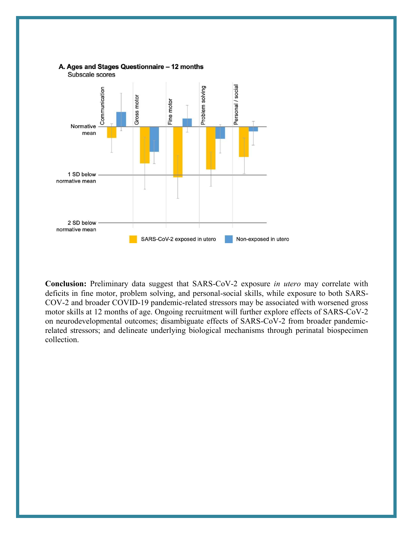

**Conclusion:** Preliminary data suggest that SARS-CoV-2 exposure *in utero* may correlate with deficits in fine motor, problem solving, and personal-social skills, while exposure to both SARS-COV-2 and broader COVID-19 pandemic-related stressors may be associated with worsened gross motor skills at 12 months of age. Ongoing recruitment will further explore effects of SARS-CoV-2 on neurodevelopmental outcomes; disambiguate effects of SARS-CoV-2 from broader pandemicrelated stressors; and delineate underlying biological mechanisms through perinatal biospecimen collection.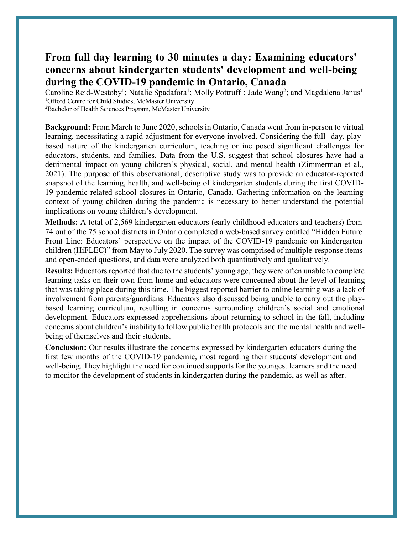#### **From full day learning to 30 minutes a day: Examining educators' concerns about kindergarten students' development and well-being during the COVID-19 pandemic in Ontario, Canada**

Caroline Reid-Westoby<sup>1</sup>; Natalie Spadafora<sup>1</sup>; Molly Pottruff<sup>1</sup>; Jade Wang<sup>2</sup>; and Magdalena Janus<sup>1</sup> <sup>1</sup>Offord Centre for Child Studies, McMaster University

<sup>2</sup>Bachelor of Health Sciences Program, McMaster University

**Background:** From March to June 2020, schools in Ontario, Canada went from in-person to virtual learning, necessitating a rapid adjustment for everyone involved. Considering the full- day, playbased nature of the kindergarten curriculum, teaching online posed significant challenges for educators, students, and families. Data from the U.S. suggest that school closures have had a detrimental impact on young children's physical, social, and mental health (Zimmerman et al., 2021). The purpose of this observational, descriptive study was to provide an educator-reported snapshot of the learning, health, and well-being of kindergarten students during the first COVID-19 pandemic-related school closures in Ontario, Canada. Gathering information on the learning context of young children during the pandemic is necessary to better understand the potential implications on young children's development.

**Methods:** A total of 2,569 kindergarten educators (early childhood educators and teachers) from 74 out of the 75 school districts in Ontario completed a web-based survey entitled "Hidden Future Front Line: Educators' perspective on the impact of the COVID-19 pandemic on kindergarten children (HiFLEC)" from May to July 2020. The survey was comprised of multiple-response items and open-ended questions, and data were analyzed both quantitatively and qualitatively.

**Results:** Educators reported that due to the students' young age, they were often unable to complete learning tasks on their own from home and educators were concerned about the level of learning that was taking place during this time. The biggest reported barrier to online learning was a lack of involvement from parents/guardians. Educators also discussed being unable to carry out the playbased learning curriculum, resulting in concerns surrounding children's social and emotional development. Educators expressed apprehensions about returning to school in the fall, including concerns about children's inability to follow public health protocols and the mental health and wellbeing of themselves and their students.

**Conclusion:** Our results illustrate the concerns expressed by kindergarten educators during the first few months of the COVID-19 pandemic, most regarding their students' development and well-being. They highlight the need for continued supports for the youngest learners and the need to monitor the development of students in kindergarten during the pandemic, as well as after.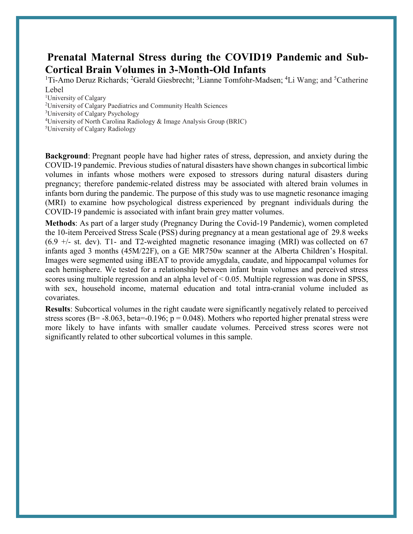#### **Prenatal Maternal Stress during the COVID19 Pandemic and Sub-Cortical Brain Volumes in 3-Month-Old Infants**

<sup>1</sup>Ti-Amo Deruz Richards; <sup>2</sup>Gerald Giesbrecht; <sup>3</sup>Lianne Tomfohr-Madsen; <sup>4</sup>Li Wang; and <sup>5</sup>Catherine Lebel

<sup>1</sup>University of Calgary

2 University of Calgary Paediatrics and Community Health Sciences

3 University of Calgary Psychology

<sup>4</sup>University of North Carolina Radiology & Image Analysis Group (BRIC)

5 University of Calgary Radiology

**Background**: Pregnant people have had higher rates of stress, depression, and anxiety during the COVID-19 pandemic. Previous studies of natural disasters have shown changes in subcortical limbic volumes in infants whose mothers were exposed to stressors during natural disasters during pregnancy; therefore pandemic-related distress may be associated with altered brain volumes in infants born during the pandemic. The purpose of this study was to use magnetic resonance imaging (MRI) to examine how psychological distress experienced by pregnant individuals during the COVID-19 pandemic is associated with infant brain grey matter volumes.

**Methods**: As part of a larger study (Pregnancy During the Covid-19 Pandemic), women completed the 10-item Perceived Stress Scale (PSS) during pregnancy at a mean gestational age of 29.8 weeks  $(6.9 +/-$  st. dev). T1- and T2-weighted magnetic resonance imaging (MRI) was collected on 67 infants aged 3 months (45M/22F), on a GE MR750w scanner at the Alberta Children's Hospital. Images were segmented using iBEAT to provide amygdala, caudate, and hippocampal volumes for each hemisphere. We tested for a relationship between infant brain volumes and perceived stress scores using multiple regression and an alpha level of  $\leq 0.05$ . Multiple regression was done in SPSS, with sex, household income, maternal education and total intra-cranial volume included as covariates.

**Results**: Subcortical volumes in the right caudate were significantly negatively related to perceived stress scores (B= -8.063, beta=-0.196;  $p = 0.048$ ). Mothers who reported higher prenatal stress were more likely to have infants with smaller caudate volumes. Perceived stress scores were not significantly related to other subcortical volumes in this sample.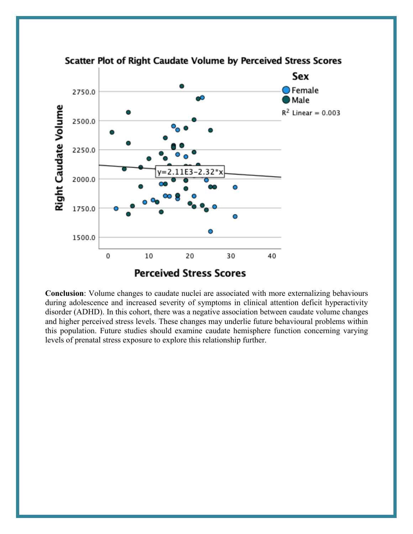

Scatter Plot of Right Caudate Volume by Perceived Stress Scores

**Conclusion**: Volume changes to caudate nuclei are associated with more externalizing behaviours during adolescence and increased severity of symptoms in clinical attention deficit hyperactivity disorder (ADHD). In this cohort, there was a negative association between caudate volume changes and higher perceived stress levels. These changes may underlie future behavioural problems within this population. Future studies should examine caudate hemisphere function concerning varying levels of prenatal stress exposure to explore this relationship further.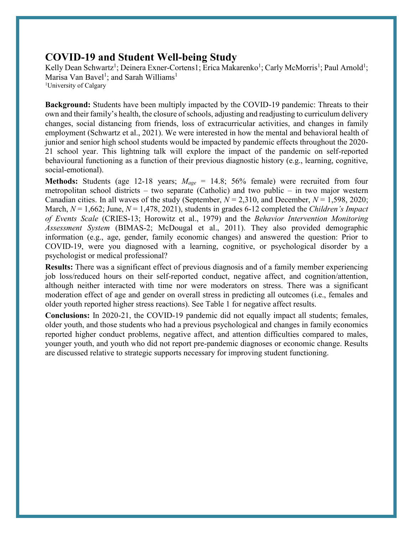#### **COVID-19 and Student Well-being Study**

Kelly Dean Schwartz<sup>1</sup>; Deinera Exner-Cortens1; Erica Makarenko<sup>1</sup>; Carly McMorris<sup>1</sup>; Paul Arnold<sup>1</sup>; Marisa Van Bavel<sup>1</sup>; and Sarah Williams<sup>1</sup> <sup>1</sup>University of Calgary

**Background:** Students have been multiply impacted by the COVID-19 pandemic: Threats to their own and their family's health, the closure of schools, adjusting and readjusting to curriculum delivery changes, social distancing from friends, loss of extracurricular activities, and changes in family employment (Schwartz et al., 2021). We were interested in how the mental and behavioral health of junior and senior high school students would be impacted by pandemic effects throughout the 2020- 21 school year. This lightning talk will explore the impact of the pandemic on self-reported behavioural functioning as a function of their previous diagnostic history (e.g., learning, cognitive, social-emotional).

**Methods:** Students (age 12-18 years; *Mage* = 14.8; 56% female) were recruited from four metropolitan school districts – two separate (Catholic) and two public – in two major western Canadian cities. In all waves of the study (September,  $N = 2,310$ , and December,  $N = 1,598,2020$ ; March,  $N = 1,662$ ; June,  $N = 1,478,2021$ ), students in grades 6-12 completed the *Children's Impact of Events Scale* (CRIES-13; Horowitz et al., 1979) and the *Behavior Intervention Monitoring Assessment System* (BIMAS-2; McDougal et al., 2011). They also provided demographic information (e.g., age, gender, family economic changes) and answered the question: Prior to COVID-19, were you diagnosed with a learning, cognitive, or psychological disorder by a psychologist or medical professional?

**Results:** There was a significant effect of previous diagnosis and of a family member experiencing job loss/reduced hours on their self-reported conduct, negative affect, and cognition/attention, although neither interacted with time nor were moderators on stress. There was a significant moderation effect of age and gender on overall stress in predicting all outcomes (i.e., females and older youth reported higher stress reactions). See Table 1 for negative affect results.

**Conclusions:** In 2020-21, the COVID-19 pandemic did not equally impact all students; females, older youth, and those students who had a previous psychological and changes in family economics reported higher conduct problems, negative affect, and attention difficulties compared to males, younger youth, and youth who did not report pre-pandemic diagnoses or economic change. Results are discussed relative to strategic supports necessary for improving student functioning.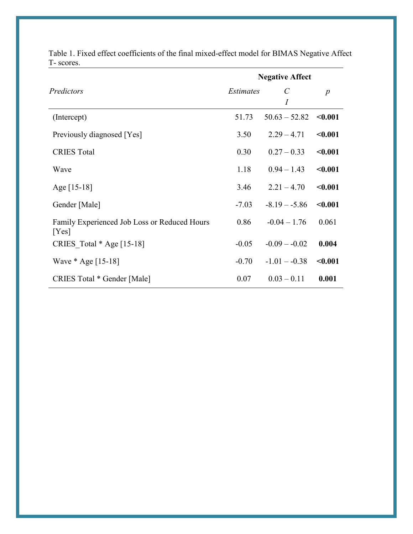|                                                       | <b>Negative Affect</b> |                                  |                  |
|-------------------------------------------------------|------------------------|----------------------------------|------------------|
| Predictors                                            | <i>Estimates</i>       | $\mathcal{C}_{\mathcal{C}}$<br>Ι | $\boldsymbol{p}$ |
| (Intercept)                                           | 51.73                  | $50.63 - 52.82$                  | < 0.001          |
| Previously diagnosed [Yes]                            | 3.50                   | $2.29 - 4.71$                    | < 0.001          |
| <b>CRIES Total</b>                                    | 0.30                   | $0.27 - 0.33$                    | < 0.001          |
| Wave                                                  | 1.18                   | $0.94 - 1.43$                    | < 0.001          |
| Age $[15-18]$                                         | 3.46                   | $2.21 - 4.70$                    | < 0.001          |
| Gender [Male]                                         | $-7.03$                | $-8.19 - -5.86$                  | < 0.001          |
| Family Experienced Job Loss or Reduced Hours<br>[Yes] | 0.86                   | $-0.04 - 1.76$                   | 0.061            |
| CRIES Total $*$ Age [15-18]                           | $-0.05$                | $-0.09 - 0.02$                   | 0.004            |
| Wave $*$ Age [15-18]                                  | $-0.70$                | $-1.01 - -0.38$                  | < 0.001          |
| CRIES Total * Gender [Male]                           | 0.07                   | $0.03 - 0.11$                    | 0.001            |

Table 1. Fixed effect coefficients of the final mixed-effect model for BIMAS Negative Affect T- scores.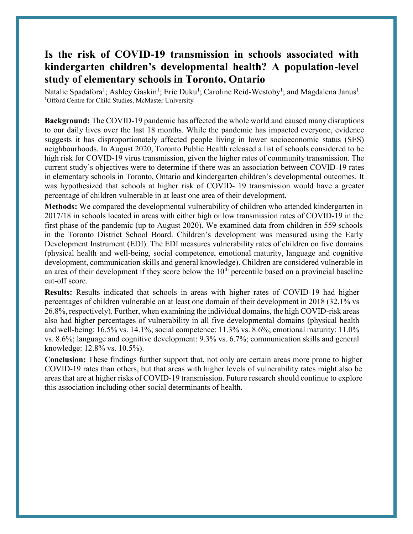#### **Is the risk of COVID-19 transmission in schools associated with kindergarten children's developmental health? A population-level study of elementary schools in Toronto, Ontario**

Natalie Spadafora<sup>1</sup>; Ashley Gaskin<sup>1</sup>; Eric Duku<sup>1</sup>; Caroline Reid-Westoby<sup>1</sup>; and Magdalena Janus<sup>1</sup> <sup>1</sup>Offord Centre for Child Studies, McMaster University

**Background:** The COVID-19 pandemic has affected the whole world and caused many disruptions to our daily lives over the last 18 months. While the pandemic has impacted everyone, evidence suggests it has disproportionately affected people living in lower socioeconomic status (SES) neighbourhoods. In August 2020, Toronto Public Health released a list of schools considered to be high risk for COVID-19 virus transmission, given the higher rates of community transmission. The current study's objectives were to determine if there was an association between COVID-19 rates in elementary schools in Toronto, Ontario and kindergarten children's developmental outcomes. It was hypothesized that schools at higher risk of COVID- 19 transmission would have a greater percentage of children vulnerable in at least one area of their development.

**Methods:** We compared the developmental vulnerability of children who attended kindergarten in 2017/18 in schools located in areas with either high or low transmission rates of COVID-19 in the first phase of the pandemic (up to August 2020). We examined data from children in 559 schools in the Toronto District School Board. Children's development was measured using the Early Development Instrument (EDI). The EDI measures vulnerability rates of children on five domains (physical health and well-being, social competence, emotional maturity, language and cognitive development, communication skills and general knowledge). Children are considered vulnerable in an area of their development if they score below the  $10<sup>th</sup>$  percentile based on a provincial baseline cut-off score.

**Results:** Results indicated that schools in areas with higher rates of COVID-19 had higher percentages of children vulnerable on at least one domain of their development in 2018 (32.1% vs 26.8%, respectively). Further, when examining the individual domains, the high COVID-risk areas also had higher percentages of vulnerability in all five developmental domains (physical health and well-being: 16.5% vs. 14.1%; social competence: 11.3% vs. 8.6%; emotional maturity: 11.0% vs. 8.6%; language and cognitive development: 9.3% vs. 6.7%; communication skills and general knowledge: 12.8% vs. 10.5%).

**Conclusion:** These findings further support that, not only are certain areas more prone to higher COVID-19 rates than others, but that areas with higher levels of vulnerability rates might also be areas that are at higher risks of COVID-19 transmission. Future research should continue to explore this association including other social determinants of health.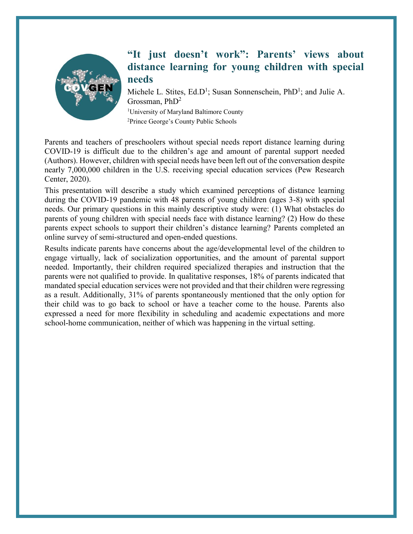

#### **"It just doesn't work": Parents' views about distance learning for young children with special needs**

Michele L. Stites, Ed.D<sup>1</sup>; Susan Sonnenschein, PhD<sup>1</sup>; and Julie A. Grossman,  $PhD<sup>2</sup>$ <sup>1</sup>University of Maryland Baltimore County <sup>2</sup>Prince George's County Public Schools

Parents and teachers of preschoolers without special needs report distance learning during COVID-19 is difficult due to the children's age and amount of parental support needed (Authors). However, children with special needs have been left out of the conversation despite nearly 7,000,000 children in the U.S. receiving special education services (Pew Research Center, 2020).

This presentation will describe a study which examined perceptions of distance learning during the COVID-19 pandemic with 48 parents of young children (ages 3-8) with special needs. Our primary questions in this mainly descriptive study were: (1) What obstacles do parents of young children with special needs face with distance learning? (2) How do these parents expect schools to support their children's distance learning? Parents completed an online survey of semi-structured and open-ended questions.

Results indicate parents have concerns about the age/developmental level of the children to engage virtually, lack of socialization opportunities, and the amount of parental support needed. Importantly, their children required specialized therapies and instruction that the parents were not qualified to provide. In qualitative responses, 18% of parents indicated that mandated special education services were not provided and that their children were regressing as a result. Additionally, 31% of parents spontaneously mentioned that the only option for their child was to go back to school or have a teacher come to the house. Parents also expressed a need for more flexibility in scheduling and academic expectations and more school-home communication, neither of which was happening in the virtual setting.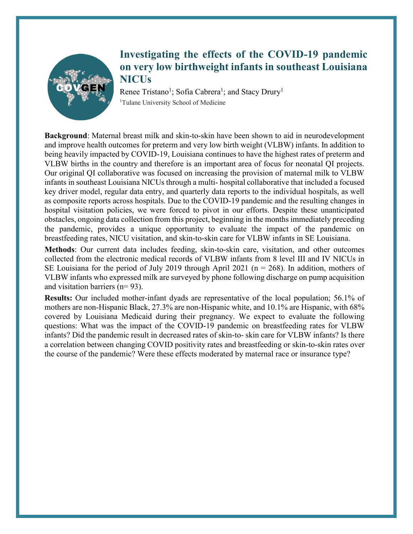

#### **Investigating the effects of the COVID-19 pandemic on very low birthweight infants in southeast Louisiana NICUs**

Renee Tristano<sup>1</sup>; Sofia Cabrera<sup>1</sup>; and Stacy Drury<sup>1</sup> <sup>1</sup>Tulane University School of Medicine

**Background**: Maternal breast milk and skin-to-skin have been shown to aid in neurodevelopment and improve health outcomes for preterm and very low birth weight (VLBW) infants. In addition to being heavily impacted by COVID-19, Louisiana continues to have the highest rates of preterm and VLBW births in the country and therefore is an important area of focus for neonatal QI projects. Our original QI collaborative was focused on increasing the provision of maternal milk to VLBW infants in southeast Louisiana NICUs through a multi- hospital collaborative that included a focused key driver model, regular data entry, and quarterly data reports to the individual hospitals, as well as composite reports across hospitals. Due to the COVID-19 pandemic and the resulting changes in hospital visitation policies, we were forced to pivot in our efforts. Despite these unanticipated obstacles, ongoing data collection from this project, beginning in the months immediately preceding the pandemic, provides a unique opportunity to evaluate the impact of the pandemic on breastfeeding rates, NICU visitation, and skin-to-skin care for VLBW infants in SE Louisiana.

**Methods**: Our current data includes feeding, skin-to-skin care, visitation, and other outcomes collected from the electronic medical records of VLBW infants from 8 level III and IV NICUs in SE Louisiana for the period of July 2019 through April 2021 ( $n = 268$ ). In addition, mothers of VLBW infants who expressed milk are surveyed by phone following discharge on pump acquisition and visitation barriers (n= 93).

**Results:** Our included mother-infant dyads are representative of the local population; 56.1% of mothers are non-Hispanic Black, 27.3% are non-Hispanic white, and 10.1% are Hispanic, with 68% covered by Louisiana Medicaid during their pregnancy. We expect to evaluate the following questions: What was the impact of the COVID-19 pandemic on breastfeeding rates for VLBW infants? Did the pandemic result in decreased rates of skin-to- skin care for VLBW infants? Is there a correlation between changing COVID positivity rates and breastfeeding or skin-to-skin rates over the course of the pandemic? Were these effects moderated by maternal race or insurance type?